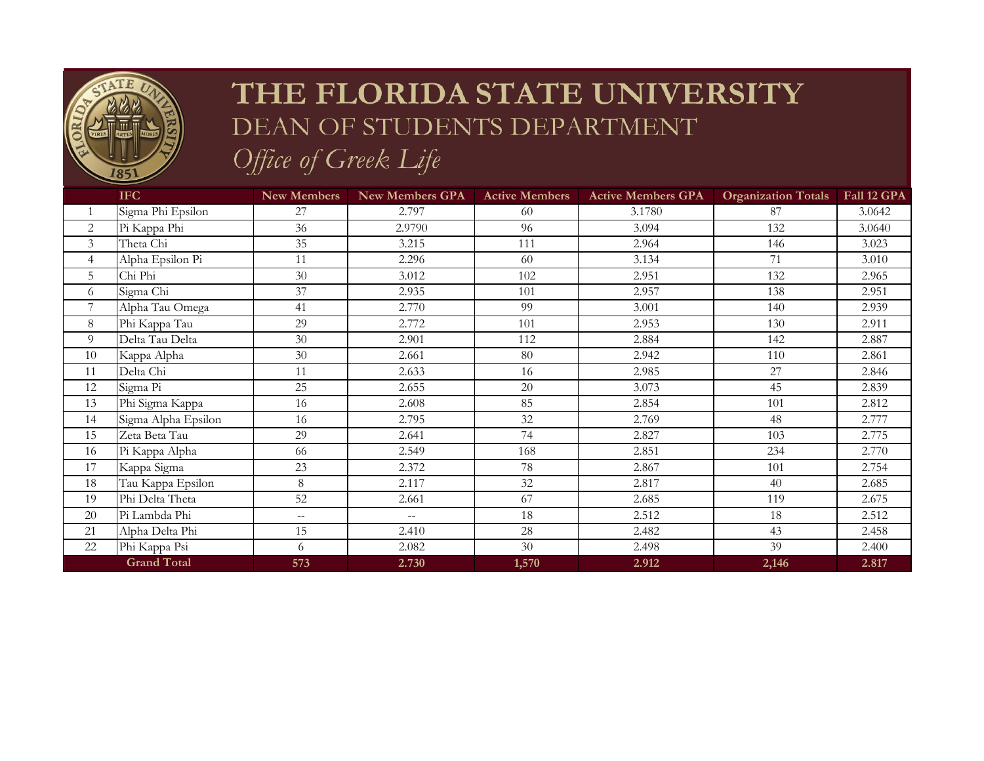

## THE FLORIDA STATE UNIVERSITY DEAN OF STUDENTS DEPARTMENT

Office of Greek Life

|                    | IFC                 | <b>New Members</b> | New Members GPA          | <b>Active Members</b> | <b>Active Members GPA</b> | <b>Organization Totals</b> | Fall 12 GPA |
|--------------------|---------------------|--------------------|--------------------------|-----------------------|---------------------------|----------------------------|-------------|
|                    | Sigma Phi Epsilon   | 27                 | 2.797                    | 60                    | 3.1780                    | 87                         | 3.0642      |
| $\overline{2}$     | Pi Kappa Phi        | 36                 | 2.9790                   | 96                    | 3.094                     | 132                        | 3.0640      |
| 3                  | Theta Chi           | 35                 | 3.215                    | 111                   | 2.964                     | 146                        | 3.023       |
| $\overline{4}$     | Alpha Epsilon Pi    | 11                 | 2.296                    | 60                    | 3.134                     | 71                         | 3.010       |
| 5                  | Chi Phi             | 30                 | 3.012                    | 102                   | 2.951                     | 132                        | 2.965       |
| 6                  | Sigma Chi           | 37                 | 2.935                    | 101                   | 2.957                     | 138                        | 2.951       |
| 7                  | Alpha Tau Omega     | 41                 | 2.770                    | 99                    | 3.001                     | 140                        | 2.939       |
| 8                  | Phi Kappa Tau       | 29                 | 2.772                    | 101                   | 2.953                     | 130                        | 2.911       |
| 9                  | Delta Tau Delta     | 30                 | 2.901                    | 112                   | 2.884                     | 142                        | 2.887       |
| 10                 | Kappa Alpha         | 30                 | 2.661                    | 80                    | 2.942                     | 110                        | 2.861       |
| 11                 | Delta Chi           | 11                 | 2.633                    | 16                    | 2.985                     | 27                         | 2.846       |
| 12                 | Sigma Pi            | 25                 | 2.655                    | 20                    | 3.073                     | 45                         | 2.839       |
| 13                 | Phi Sigma Kappa     | 16                 | 2.608                    | 85                    | 2.854                     | 101                        | 2.812       |
| 14                 | Sigma Alpha Epsilon | 16                 | 2.795                    | 32                    | 2.769                     | 48                         | 2.777       |
| 15                 | Zeta Beta Tau       | 29                 | 2.641                    | 74                    | 2.827                     | 103                        | 2.775       |
| 16                 | Pi Kappa Alpha      | 66                 | 2.549                    | 168                   | 2.851                     | 234                        | 2.770       |
| 17                 | Kappa Sigma         | 23                 | 2.372                    | 78                    | 2.867                     | 101                        | 2.754       |
| 18                 | Tau Kappa Epsilon   | 8                  | 2.117                    | 32                    | 2.817                     | 40                         | 2.685       |
| 19                 | Phi Delta Theta     | 52                 | 2.661                    | 67                    | 2.685                     | 119                        | 2.675       |
| 20                 | Pi Lambda Phi       | $-\,-$             | $\overline{\phantom{m}}$ | 18                    | 2.512                     | 18                         | 2.512       |
| 21                 | Alpha Delta Phi     | 15                 | 2.410                    | 28                    | 2.482                     | 43                         | 2.458       |
| 22                 | Phi Kappa Psi       | 6                  | 2.082                    | 30                    | 2.498                     | 39                         | 2.400       |
| <b>Grand Total</b> |                     | 573                | 2.730                    | 1,570                 | 2.912                     | 2,146                      | 2.817       |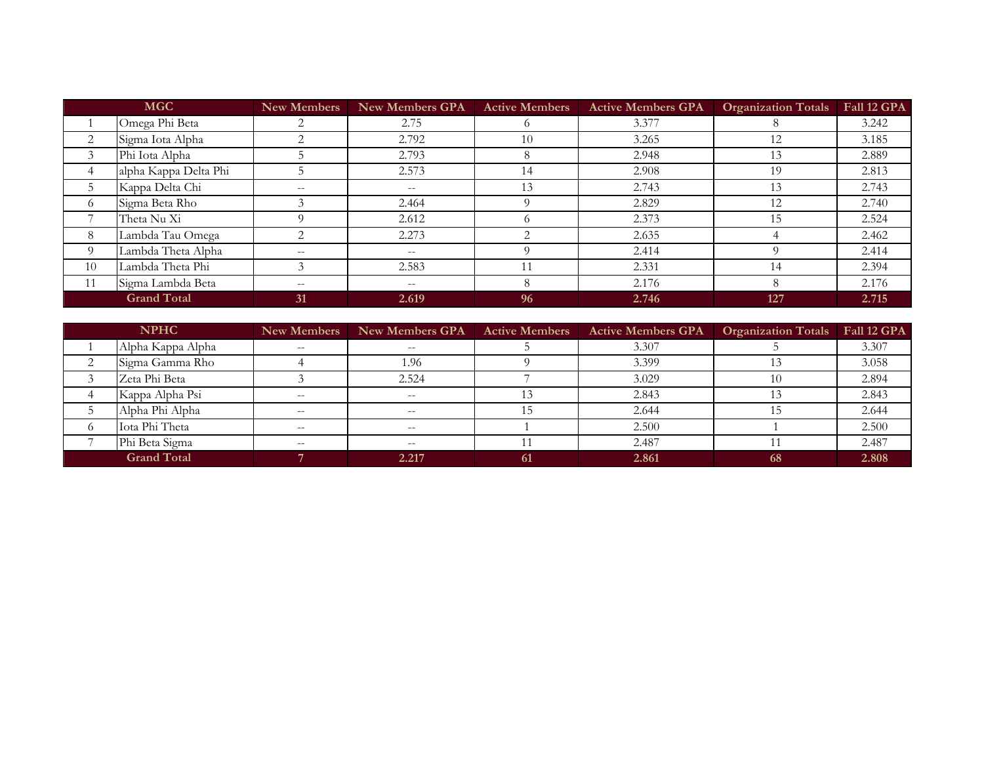| <b>MGC</b> |                       | <b>New Members</b>       | <b>New Members GPA</b>                                | <b>Active Members</b> | <b>Active Members GPA</b> | <b>Organization Totals</b> | Fall 12 GPA |
|------------|-----------------------|--------------------------|-------------------------------------------------------|-----------------------|---------------------------|----------------------------|-------------|
|            | Omega Phi Beta        |                          | 2.75                                                  |                       | 3.377                     |                            | 3.242       |
| 2          | Sigma Iota Alpha      |                          | 2.792                                                 | 10                    | 3.265                     | 12                         | 3.185       |
| 3          | Phi Iota Alpha        |                          | 2.793                                                 |                       | 2.948                     |                            | 2.889       |
| 4          | alpha Kappa Delta Phi |                          | 2.573                                                 | 14                    | 2.908                     | 19                         | 2.813       |
| 5          | Kappa Delta Chi       | $- -$                    | $\hspace{0.05cm} - \hspace{0.05cm} - \hspace{0.05cm}$ | 13                    | 2.743                     |                            | 2.743       |
| $\circ$    | Sigma Beta Rho        |                          | 2.464                                                 |                       | 2.829                     | 12                         | 2.740       |
|            | Theta Nu Xi           |                          | 2.612                                                 |                       | 2.373                     |                            | 2.524       |
| 8          | Lambda Tau Omega      |                          | 2.273                                                 |                       | 2.635                     |                            | 2.462       |
| $\Omega$   | Lambda Theta Alpha    | $- -$                    | $\overline{\phantom{m}}$                              |                       | 2.414                     |                            | 2.414       |
| 10         | Lambda Theta Phi      |                          | 2.583                                                 |                       | 2.331                     | 14                         | 2.394       |
| 11         | Sigma Lambda Beta     | $\overline{\phantom{m}}$ | $\overline{\phantom{m}}$                              |                       | 2.176                     | 8                          | 2.176       |
|            | <b>Grand Total</b>    | 31                       | 2.619                                                 | 96                    | 2.746                     | 127                        | 2.715       |

| <b>NPHC</b> |                    | New Members | New Members GPA          | <b>Active Members</b> | <b>Active Members GPA</b> | <b>Organization Totals</b> | Fall 12 GPA |
|-------------|--------------------|-------------|--------------------------|-----------------------|---------------------------|----------------------------|-------------|
|             | Alpha Kappa Alpha  | $- -$       | $- -$                    |                       | 3.307                     |                            | 3.307       |
|             | Sigma Gamma Rho    |             | 1.96                     |                       | 3.399                     |                            | 3.058       |
|             | Zeta Phi Beta      |             | 2.524                    |                       | 3.029                     |                            | 2.894       |
|             | Kappa Alpha Psi    | $- -$       | $\overline{\phantom{m}}$ |                       | 2.843                     |                            | 2.843       |
|             | Alpha Phi Alpha    | $- -$       | $- -$                    |                       | 2.644                     |                            | 2.644       |
|             | Iota Phi Theta     |             | $- -$                    |                       | 2.500                     |                            | 2.500       |
|             | Phi Beta Sigma     | $- -$       | $-$                      |                       | 2.487                     |                            | 2.487       |
|             | <b>Grand Total</b> |             | 2.217                    | -61                   | 2.861                     | 68                         | 2.808       |